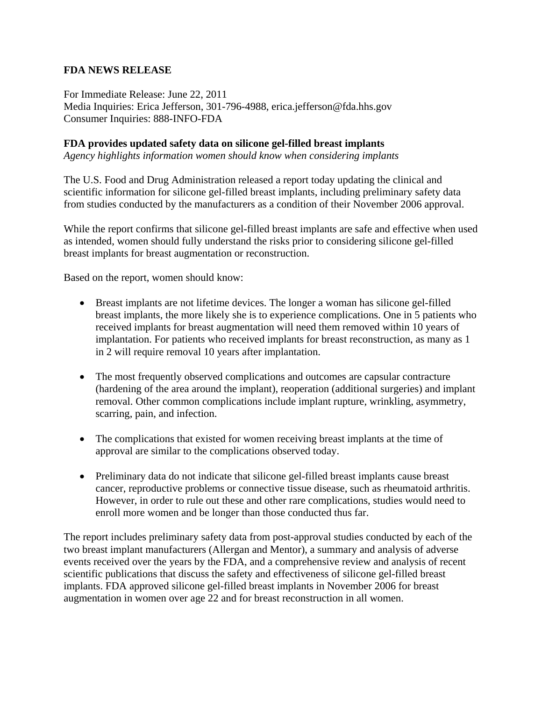## **FDA NEWS RELEASE**

For Immediate Release: June 22, 2011 Media Inquiries: Erica Jefferson, 301-796-4988, erica.jefferson@fda.hhs.gov Consumer Inquiries: 888-INFO-FDA

## **FDA provides updated safety data on silicone gel-filled breast implants**

*Agency highlights information women should know when considering implants* 

The U.S. Food and Drug Administration released a report today updating the clinical and scientific information for silicone gel-filled breast implants, including preliminary safety data from studies conducted by the manufacturers as a condition of their November 2006 approval.

While the report confirms that silicone gel-filled breast implants are safe and effective when used as intended, women should fully understand the risks prior to considering silicone gel-filled breast implants for breast augmentation or reconstruction.

Based on the report, women should know:

- Breast implants are not lifetime devices. The longer a woman has silicone gel-filled breast implants, the more likely she is to experience complications. One in 5 patients who received implants for breast augmentation will need them removed within 10 years of implantation. For patients who received implants for breast reconstruction, as many as 1 in 2 will require removal 10 years after implantation.
- The most frequently observed complications and outcomes are capsular contracture (hardening of the area around the implant), reoperation (additional surgeries) and implant removal. Other common complications include implant rupture, wrinkling, asymmetry, scarring, pain, and infection.
- The complications that existed for women receiving breast implants at the time of approval are similar to the complications observed today.
- Preliminary data do not indicate that silicone gel-filled breast implants cause breast cancer, reproductive problems or connective tissue disease, such as rheumatoid arthritis. However, in order to rule out these and other rare complications, studies would need to enroll more women and be longer than those conducted thus far.

The report includes preliminary safety data from post-approval studies conducted by each of the two breast implant manufacturers (Allergan and Mentor), a summary and analysis of adverse events received over the years by the FDA, and a comprehensive review and analysis of recent scientific publications that discuss the safety and effectiveness of silicone gel-filled breast implants. FDA approved silicone gel-filled breast implants in November 2006 for breast augmentation in women over age 22 and for breast reconstruction in all women.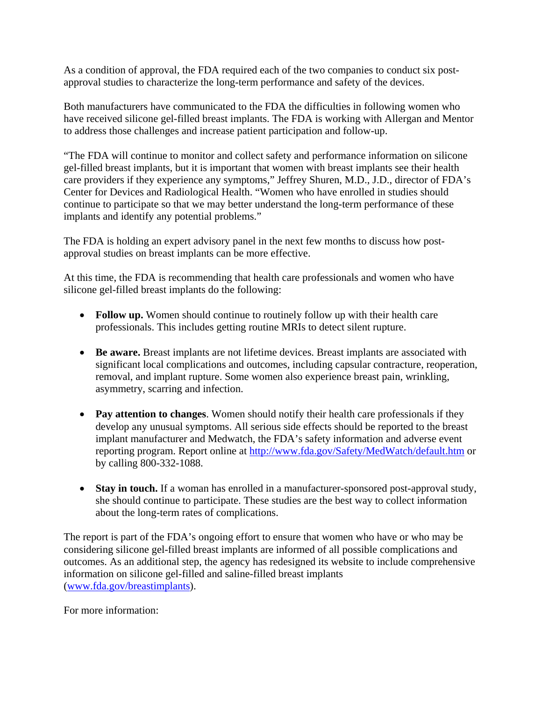As a condition of approval, the FDA required each of the two companies to conduct six postapproval studies to characterize the long-term performance and safety of the devices.

Both manufacturers have communicated to the FDA the difficulties in following women who have received silicone gel-filled breast implants. The FDA is working with Allergan and Mentor to address those challenges and increase patient participation and follow-up.

"The FDA will continue to monitor and collect safety and performance information on silicone gel-filled breast implants, but it is important that women with breast implants see their health care providers if they experience any symptoms," Jeffrey Shuren, M.D., J.D., director of FDA's Center for Devices and Radiological Health. "Women who have enrolled in studies should continue to participate so that we may better understand the long-term performance of these implants and identify any potential problems."

The FDA is holding an expert advisory panel in the next few months to discuss how postapproval studies on breast implants can be more effective.

At this time, the FDA is recommending that health care professionals and women who have silicone gel-filled breast implants do the following:

- **Follow up.** Women should continue to routinely follow up with their health care professionals. This includes getting routine MRIs to detect silent rupture.
- **Be aware.** Breast implants are not lifetime devices. Breast implants are associated with significant local complications and outcomes, including capsular contracture, reoperation, removal, and implant rupture. Some women also experience breast pain, wrinkling, asymmetry, scarring and infection.
- **Pay attention to changes**. Women should notify their health care professionals if they develop any unusual symptoms. All serious side effects should be reported to the breast implant manufacturer and Medwatch, the FDA's safety information and adverse event reporting program. Report online at <http://www.fda.gov/Safety/MedWatch/default.htm>or by calling 800-332-1088.
- **Stay in touch.** If a woman has enrolled in a manufacturer-sponsored post-approval study, she should continue to participate. These studies are the best way to collect information about the long-term rates of complications.

The report is part of the FDA's ongoing effort to ensure that women who have or who may be considering silicone gel-filled breast implants are informed of all possible complications and outcomes. As an additional step, the agency has redesigned its website to include comprehensive information on silicone gel-filled and saline-filled breast implants ([www.fda.gov/breastimplants\)](http://www.fda.gov/breastimplants).

For more information: